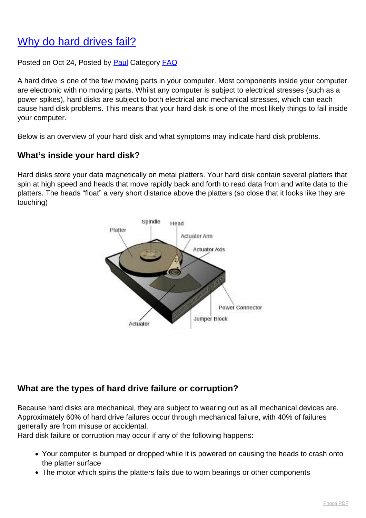# [Why do hard drives fail?](http://www.computerdoctor.com.au/news/why-do-hard-drives-fail)

Posted on Oct 24, Posted by [Paul](http://www.computerdoctor.com.au/news/blogger/listings/paul) Category [FAQ](http://www.computerdoctor.com.au/news/categories/frequently-asked-questions)

A hard drive is one of the few moving parts in your computer. Most components inside your computer are electronic with no moving parts. Whilst any computer is subject to electrical stresses (such as a power spikes), hard disks are subject to both electrical and mechanical stresses, which can each cause hard disk problems. This means that your hard disk is one of the most likely things to fail inside your computer.

Below is an overview of your hard disk and what symptoms may indicate hard disk problems.

#### **What's inside your hard disk?**

Hard disks store your data magnetically on metal platters. Your hard disk contain several platters that spin at high speed and heads that move rapidly back and forth to read data from and write data to the platters. The heads "float" a very short distance above the platters (so close that it looks like they are touching)



### **What are the types of hard drive failure or corruption?**

Because hard disks are mechanical, they are subject to wearing out as all mechanical devices are. Approximately 60% of hard drive failures occur through mechanical failure, with 40% of failures generally are from misuse or accidental.

Hard disk failure or corruption may occur if any of the following happens:

- Your computer is bumped or dropped while it is powered on causing the heads to crash onto the platter surface
- The motor which spins the platters fails due to worn bearings or other components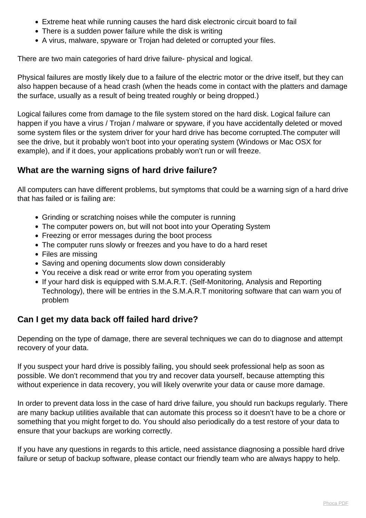- Extreme heat while running causes the hard disk electronic circuit board to fail
- There is a sudden power failure while the disk is writing
- A virus, malware, spyware or Trojan had deleted or corrupted your files.

There are two main categories of hard drive failure- physical and logical.

Physical failures are mostly likely due to a failure of the electric motor or the drive itself, but they can also happen because of a head crash (when the heads come in contact with the platters and damage the surface, usually as a result of being treated roughly or being dropped.)

Logical failures come from damage to the file system stored on the hard disk. Logical failure can happen if you have a virus / Trojan / malware or spyware, if you have accidentally deleted or moved some system files or the system driver for your hard drive has become corrupted.The computer will see the drive, but it probably won't boot into your operating system (Windows or Mac OSX for example), and if it does, your applications probably won't run or will freeze.

## **What are the warning signs of hard drive failure?**

All computers can have different problems, but symptoms that could be a warning sign of a hard drive that has failed or is failing are:

- Grinding or scratching noises while the computer is running
- The computer powers on, but will not boot into your Operating System
- Freezing or error messages during the boot process
- The computer runs slowly or freezes and you have to do a hard reset
- Files are missing
- Saving and opening documents slow down considerably
- You receive a disk read or write error from you operating system
- If your hard disk is equipped with S.M.A.R.T. (Self-Monitoring, Analysis and Reporting Technology), there will be entries in the S.M.A.R.T monitoring software that can warn you of problem

### **Can I get my data back off failed hard drive?**

Depending on the type of damage, there are several techniques we can do to diagnose and attempt recovery of your data.

If you suspect your hard drive is possibly failing, you should seek professional help as soon as possible. We don't recommend that you try and recover data yourself, because attempting this without experience in data recovery, you will likely overwrite your data or cause more damage.

In order to prevent data loss in the case of hard drive failure, you should run backups regularly. There are many backup utilities available that can automate this process so it doesn't have to be a chore or something that you might forget to do. You should also periodically do a test restore of your data to ensure that your backups are working correctly.

If you have any questions in regards to this article, need assistance diagnosing a possible hard drive failure or setup of backup software, please contact our friendly team who are always happy to help.